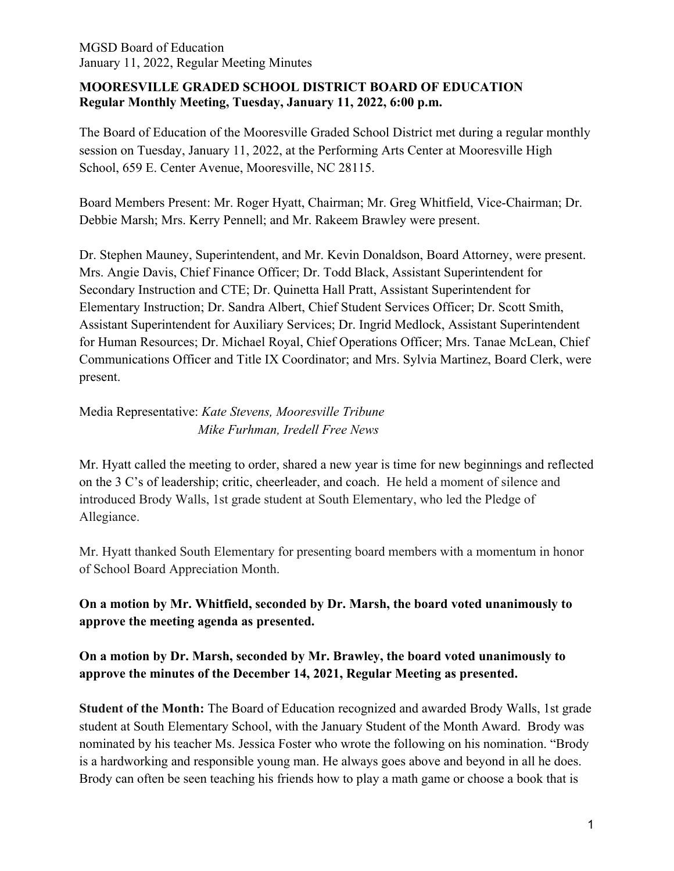### **MOORESVILLE GRADED SCHOOL DISTRICT BOARD OF EDUCATION Regular Monthly Meeting, Tuesday, January 11, 2022, 6:00 p.m.**

The Board of Education of the Mooresville Graded School District met during a regular monthly session on Tuesday, January 11, 2022, at the Performing Arts Center at Mooresville High School, 659 E. Center Avenue, Mooresville, NC 28115.

Board Members Present: Mr. Roger Hyatt, Chairman; Mr. Greg Whitfield, Vice-Chairman; Dr. Debbie Marsh; Mrs. Kerry Pennell; and Mr. Rakeem Brawley were present.

Dr. Stephen Mauney, Superintendent, and Mr. Kevin Donaldson, Board Attorney, were present. Mrs. Angie Davis, Chief Finance Officer; Dr. Todd Black, Assistant Superintendent for Secondary Instruction and CTE; Dr. Quinetta Hall Pratt, Assistant Superintendent for Elementary Instruction; Dr. Sandra Albert, Chief Student Services Officer; Dr. Scott Smith, Assistant Superintendent for Auxiliary Services; Dr. Ingrid Medlock, Assistant Superintendent for Human Resources; Dr. Michael Royal, Chief Operations Officer; Mrs. Tanae McLean, Chief Communications Officer and Title IX Coordinator; and Mrs. Sylvia Martinez, Board Clerk, were present.

# Media Representative: *Kate Stevens, Mooresville Tribune Mike Furhman, Iredell Free News*

Mr. Hyatt called the meeting to order, shared a new year is time for new beginnings and reflected on the 3 C's of leadership; critic, cheerleader, and coach. He held a moment of silence and introduced Brody Walls, 1st grade student at South Elementary, who led the Pledge of Allegiance.

Mr. Hyatt thanked South Elementary for presenting board members with a momentum in honor of School Board Appreciation Month.

**On a motion by Mr. Whitfield, seconded by Dr. Marsh, the board voted unanimously to approve the meeting agenda as presented.**

# **On a motion by Dr. Marsh, seconded by Mr. Brawley, the board voted unanimously to approve the minutes of the December 14, 2021, Regular Meeting as presented.**

**Student of the Month:** The Board of Education recognized and awarded Brody Walls, 1st grade student at South Elementary School, with the January Student of the Month Award. Brody was nominated by his teacher Ms. Jessica Foster who wrote the following on his nomination. "Brody is a hardworking and responsible young man. He always goes above and beyond in all he does. Brody can often be seen teaching his friends how to play a math game or choose a book that is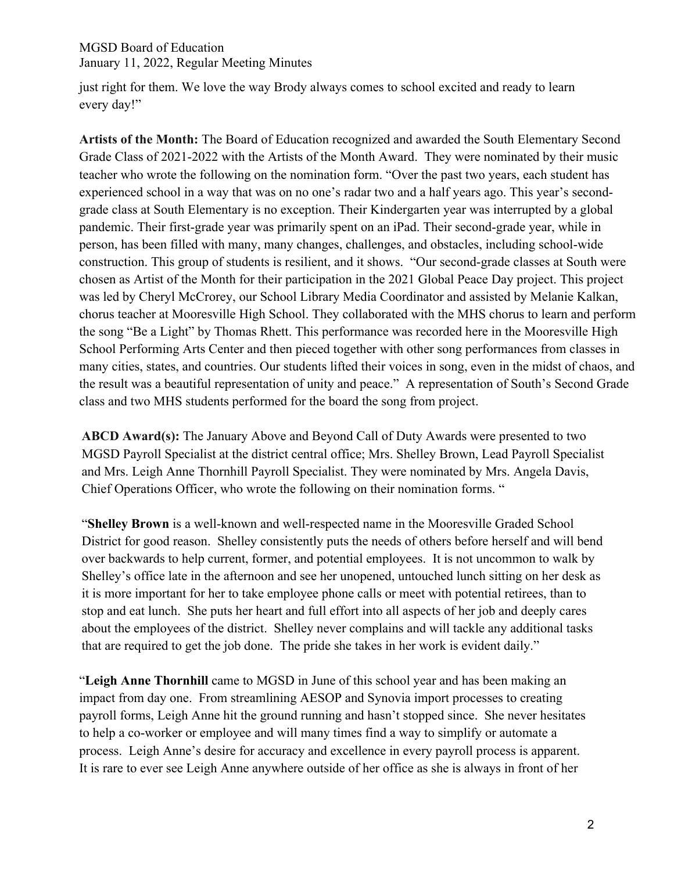just right for them. We love the way Brody always comes to school excited and ready to learn every day!"

**Artists of the Month:** The Board of Education recognized and awarded the South Elementary Second Grade Class of 2021-2022 with the Artists of the Month Award. They were nominated by their music teacher who wrote the following on the nomination form. "Over the past two years, each student has experienced school in a way that was on no one's radar two and a half years ago. This year's secondgrade class at South Elementary is no exception. Their Kindergarten year was interrupted by a global pandemic. Their first-grade year was primarily spent on an iPad. Their second-grade year, while in person, has been filled with many, many changes, challenges, and obstacles, including school-wide construction. This group of students is resilient, and it shows. "Our second-grade classes at South were chosen as Artist of the Month for their participation in the 2021 Global Peace Day project. This project was led by Cheryl McCrorey, our School Library Media Coordinator and assisted by Melanie Kalkan, chorus teacher at Mooresville High School. They collaborated with the MHS chorus to learn and perform the song "Be a Light" by Thomas Rhett. This performance was recorded here in the Mooresville High School Performing Arts Center and then pieced together with other song performances from classes in many cities, states, and countries. Our students lifted their voices in song, even in the midst of chaos, and the result was a beautiful representation of unity and peace." A representation of South's Second Grade class and two MHS students performed for the board the song from project.

**ABCD Award(s):** The January Above and Beyond Call of Duty Awards were presented to two MGSD Payroll Specialist at the district central office; Mrs. Shelley Brown, Lead Payroll Specialist and Mrs. Leigh Anne Thornhill Payroll Specialist. They were nominated by Mrs. Angela Davis, Chief Operations Officer, who wrote the following on their nomination forms. "

"**Shelley Brown** is a well-known and well-respected name in the Mooresville Graded School District for good reason. Shelley consistently puts the needs of others before herself and will bend over backwards to help current, former, and potential employees. It is not uncommon to walk by Shelley's office late in the afternoon and see her unopened, untouched lunch sitting on her desk as it is more important for her to take employee phone calls or meet with potential retirees, than to stop and eat lunch. She puts her heart and full effort into all aspects of her job and deeply cares about the employees of the district. Shelley never complains and will tackle any additional tasks that are required to get the job done. The pride she takes in her work is evident daily."

"**Leigh Anne Thornhill** came to MGSD in June of this school year and has been making an impact from day one. From streamlining AESOP and Synovia import processes to creating payroll forms, Leigh Anne hit the ground running and hasn't stopped since. She never hesitates to help a co-worker or employee and will many times find a way to simplify or automate a process. Leigh Anne's desire for accuracy and excellence in every payroll process is apparent. It is rare to ever see Leigh Anne anywhere outside of her office as she is always in front of her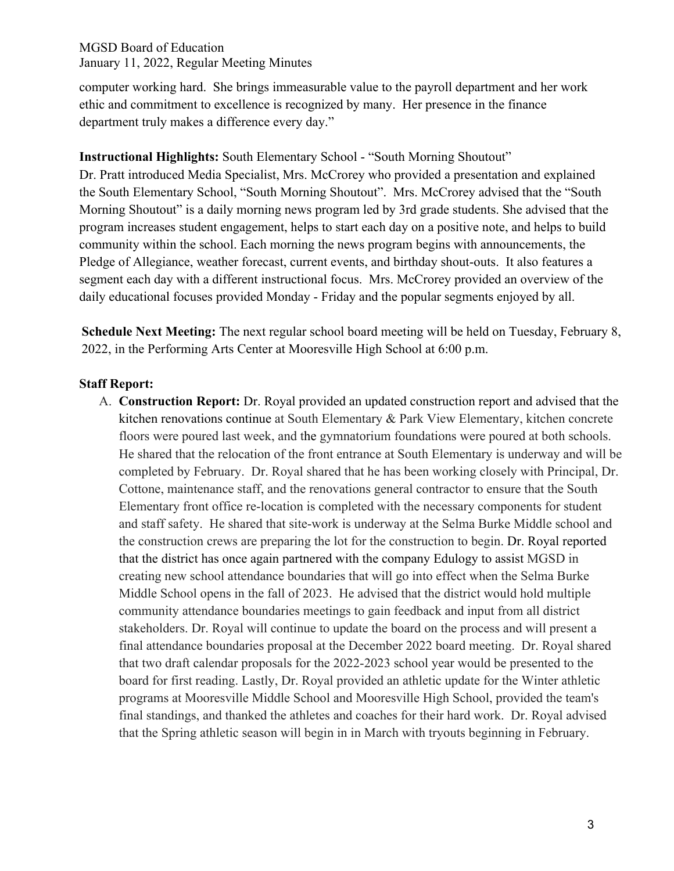computer working hard. She brings immeasurable value to the payroll department and her work ethic and commitment to excellence is recognized by many. Her presence in the finance department truly makes a difference every day."

**Instructional Highlights:** South Elementary School - "South Morning Shoutout"

Dr. Pratt introduced Media Specialist, Mrs. McCrorey who provided a presentation and explained the South Elementary School, "South Morning Shoutout". Mrs. McCrorey advised that the "South Morning Shoutout" is a daily morning news program led by 3rd grade students. She advised that the program increases student engagement, helps to start each day on a positive note, and helps to build community within the school. Each morning the news program begins with announcements, the Pledge of Allegiance, weather forecast, current events, and birthday shout-outs. It also features a segment each day with a different instructional focus. Mrs. McCrorey provided an overview of the daily educational focuses provided Monday - Friday and the popular segments enjoyed by all.

**Schedule Next Meeting:** The next regular school board meeting will be held on Tuesday, February 8, 2022, in the Performing Arts Center at Mooresville High School at 6:00 p.m.

### **Staff Report:**

A. **Construction Report:** Dr. Royal provided an updated construction report and advised that the kitchen renovations continue at South Elementary & Park View Elementary, kitchen concrete floors were poured last week, and the gymnatorium foundations were poured at both schools. He shared that the relocation of the front entrance at South Elementary is underway and will be completed by February. Dr. Royal shared that he has been working closely with Principal, Dr. Cottone, maintenance staff, and the renovations general contractor to ensure that the South Elementary front office re-location is completed with the necessary components for student and staff safety. He shared that site-work is underway at the Selma Burke Middle school and the construction crews are preparing the lot for the construction to begin. Dr. Royal reported that the district has once again partnered with the company Edulogy to assist MGSD in creating new school attendance boundaries that will go into effect when the Selma Burke Middle School opens in the fall of 2023. He advised that the district would hold multiple community attendance boundaries meetings to gain feedback and input from all district stakeholders. Dr. Royal will continue to update the board on the process and will present a final attendance boundaries proposal at the December 2022 board meeting. Dr. Royal shared that two draft calendar proposals for the 2022-2023 school year would be presented to the board for first reading. Lastly, Dr. Royal provided an athletic update for the Winter athletic programs at Mooresville Middle School and Mooresville High School, provided the team's final standings, and thanked the athletes and coaches for their hard work. Dr. Royal advised that the Spring athletic season will begin in in March with tryouts beginning in February.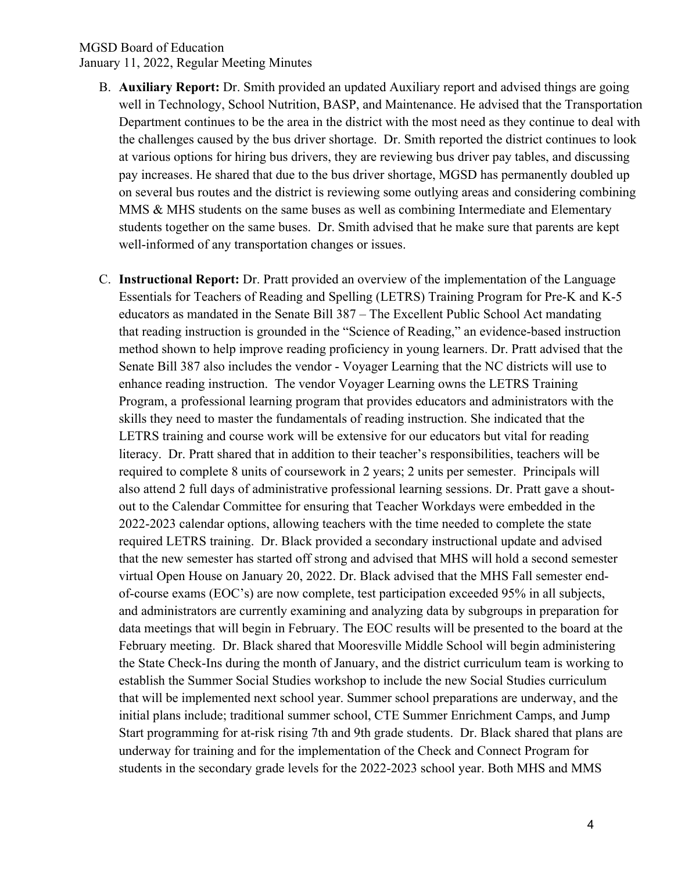- B. **Auxiliary Report:** Dr. Smith provided an updated Auxiliary report and advised things are going well in Technology, School Nutrition, BASP, and Maintenance. He advised that the Transportation Department continues to be the area in the district with the most need as they continue to deal with the challenges caused by the bus driver shortage. Dr. Smith reported the district continues to look at various options for hiring bus drivers, they are reviewing bus driver pay tables, and discussing pay increases. He shared that due to the bus driver shortage, MGSD has permanently doubled up on several bus routes and the district is reviewing some outlying areas and considering combining MMS & MHS students on the same buses as well as combining Intermediate and Elementary students together on the same buses. Dr. Smith advised that he make sure that parents are kept well-informed of any transportation changes or issues.
- C. **Instructional Report:** Dr. Pratt provided an overview of the implementation of the Language Essentials for Teachers of Reading and Spelling (LETRS) Training Program for Pre-K and K-5 educators as mandated in the Senate Bill 387 – The Excellent Public School Act mandating that reading instruction is grounded in the "Science of Reading," an evidence-based instruction method shown to help improve reading proficiency in young learners. Dr. Pratt advised that the Senate Bill 387 also includes the vendor - Voyager Learning that the NC districts will use to enhance reading instruction. The vendor Voyager Learning owns the LETRS Training Program, a professional learning program that provides educators and administrators with the skills they need to master the fundamentals of reading instruction. She indicated that the LETRS training and course work will be extensive for our educators but vital for reading literacy. Dr. Pratt shared that in addition to their teacher's responsibilities, teachers will be required to complete 8 units of coursework in 2 years; 2 units per semester. Principals will also attend 2 full days of administrative professional learning sessions. Dr. Pratt gave a shoutout to the Calendar Committee for ensuring that Teacher Workdays were embedded in the 2022-2023 calendar options, allowing teachers with the time needed to complete the state required LETRS training. Dr. Black provided a secondary instructional update and advised that the new semester has started off strong and advised that MHS will hold a second semester virtual Open House on January 20, 2022. Dr. Black advised that the MHS Fall semester endof-course exams (EOC's) are now complete, test participation exceeded 95% in all subjects, and administrators are currently examining and analyzing data by subgroups in preparation for data meetings that will begin in February. The EOC results will be presented to the board at the February meeting. Dr. Black shared that Mooresville Middle School will begin administering the State Check-Ins during the month of January, and the district curriculum team is working to establish the Summer Social Studies workshop to include the new Social Studies curriculum that will be implemented next school year. Summer school preparations are underway, and the initial plans include; traditional summer school, CTE Summer Enrichment Camps, and Jump Start programming for at-risk rising 7th and 9th grade students. Dr. Black shared that plans are underway for training and for the implementation of the Check and Connect Program for students in the secondary grade levels for the 2022-2023 school year. Both MHS and MMS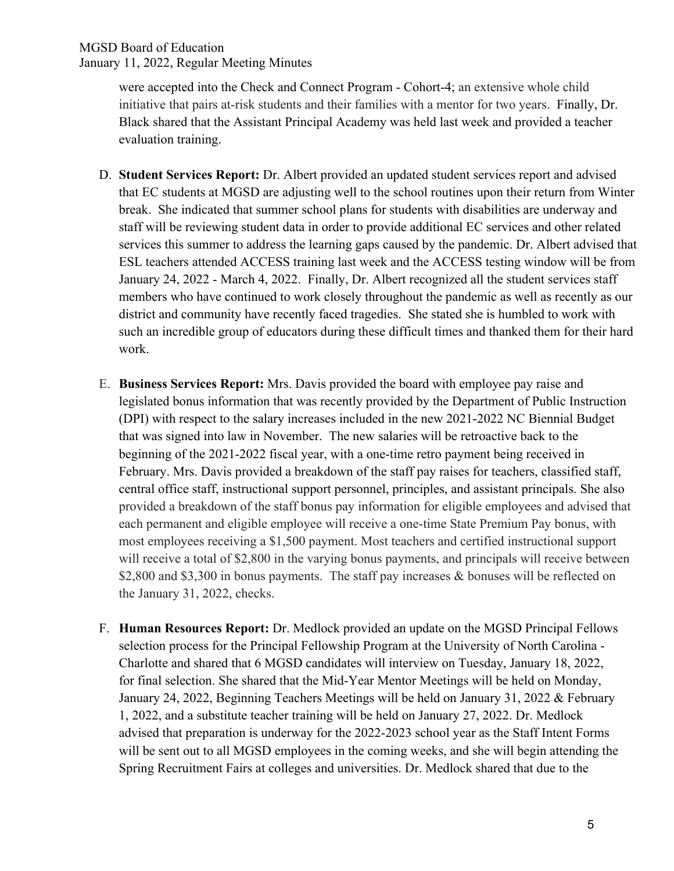were accepted into the Check and Connect Program - Cohort-4; an extensive whole child initiative that pairs at-risk students and their families with a mentor for two years. Finally, Dr. Black shared that the Assistant Principal Academy was held last week and provided a teacher evaluation training.

- D. **Student Services Report:** Dr. Albert provided an updated student services report and advised that EC students at MGSD are adjusting well to the school routines upon their return from Winter break. She indicated that summer school plans for students with disabilities are underway and staff will be reviewing student data in order to provide additional EC services and other related services this summer to address the learning gaps caused by the pandemic. Dr. Albert advised that ESL teachers attended ACCESS training last week and the ACCESS testing window will be from January 24, 2022 - March 4, 2022. Finally, Dr. Albert recognized all the student services staff members who have continued to work closely throughout the pandemic as well as recently as our district and community have recently faced tragedies. She stated she is humbled to work with such an incredible group of educators during these difficult times and thanked them for their hard work.
- E. **Business Services Report:** Mrs. Davis provided the board with employee pay raise and legislated bonus information that was recently provided by the Department of Public Instruction (DPI) with respect to the salary increases included in the new 2021-2022 NC Biennial Budget that was signed into law in November. The new salaries will be retroactive back to the beginning of the 2021-2022 fiscal year, with a one-time retro payment being received in February. Mrs. Davis provided a breakdown of the staff pay raises for teachers, classified staff, central office staff, instructional support personnel, principles, and assistant principals. She also provided a breakdown of the staff bonus pay information for eligible employees and advised that each permanent and eligible employee will receive a one-time State Premium Pay bonus, with most employees receiving a \$1,500 payment. Most teachers and certified instructional support will receive a total of \$2,800 in the varying bonus payments, and principals will receive between \$2,800 and \$3,300 in bonus payments. The staff pay increases  $\&$  bonuses will be reflected on the January 31, 2022, checks.
- F. **Human Resources Report:** Dr. Medlock provided an update on the MGSD Principal Fellows selection process for the Principal Fellowship Program at the University of North Carolina - Charlotte and shared that 6 MGSD candidates will interview on Tuesday, January 18, 2022, for final selection. She shared that the Mid-Year Mentor Meetings will be held on Monday, January 24, 2022, Beginning Teachers Meetings will be held on January 31, 2022 & February 1, 2022, and a substitute teacher training will be held on January 27, 2022. Dr. Medlock advised that preparation is underway for the 2022-2023 school year as the Staff Intent Forms will be sent out to all MGSD employees in the coming weeks, and she will begin attending the Spring Recruitment Fairs at colleges and universities. Dr. Medlock shared that due to the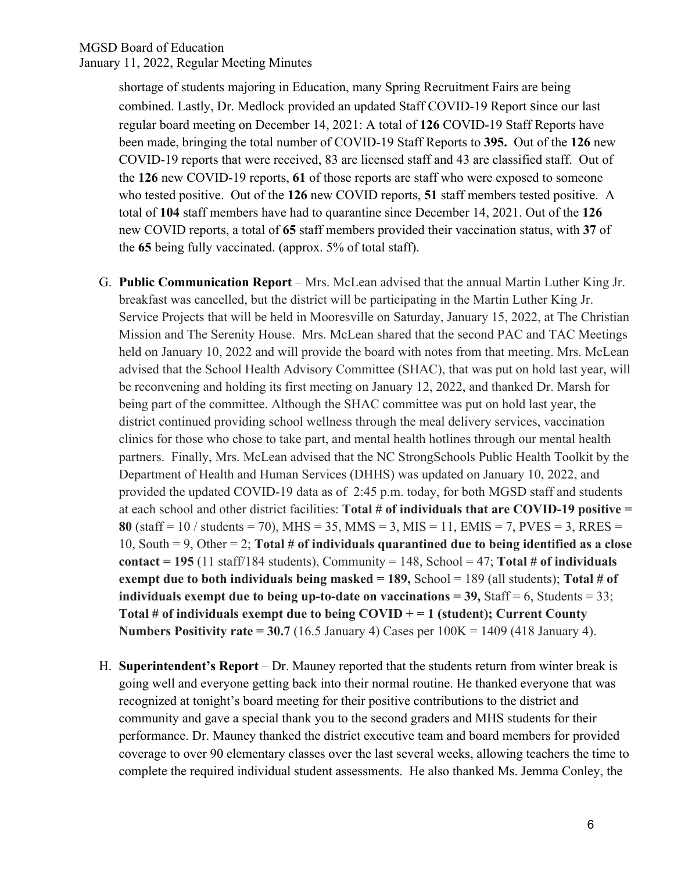shortage of students majoring in Education, many Spring Recruitment Fairs are being combined. Lastly, Dr. Medlock provided an updated Staff COVID-19 Report since our last regular board meeting on December 14, 2021: A total of **126** COVID-19 Staff Reports have been made, bringing the total number of COVID-19 Staff Reports to **395.** Out of the **126** new COVID-19 reports that were received, 83 are licensed staff and 43 are classified staff. Out of the **126** new COVID-19 reports, **61** of those reports are staff who were exposed to someone who tested positive. Out of the **126** new COVID reports, **51** staff members tested positive. A total of **104** staff members have had to quarantine since December 14, 2021. Out of the **126**  new COVID reports, a total of **65** staff members provided their vaccination status, with **37** of the **65** being fully vaccinated. (approx. 5% of total staff).

- G. **Public Communication Report**  Mrs. McLean advised that the annual Martin Luther King Jr. breakfast was cancelled, but the district will be participating in the Martin Luther King Jr. Service Projects that will be held in Mooresville on Saturday, January 15, 2022, at The Christian Mission and The Serenity House. Mrs. McLean shared that the second PAC and TAC Meetings held on January 10, 2022 and will provide the board with notes from that meeting. Mrs. McLean advised that the School Health Advisory Committee (SHAC), that was put on hold last year, will be reconvening and holding its first meeting on January 12, 2022, and thanked Dr. Marsh for being part of the committee. Although the SHAC committee was put on hold last year, the district continued providing school wellness through the meal delivery services, vaccination clinics for those who chose to take part, and mental health hotlines through our mental health partners. Finally, Mrs. McLean advised that the NC StrongSchools Public Health Toolkit by the Department of Health and Human Services (DHHS) was updated on January 10, 2022, and provided the updated COVID-19 data as of 2:45 p.m. today, for both MGSD staff and students at each school and other district facilities: **Total # of individuals that are COVID-19 positive = 80** (staff =  $10$  / students =  $70$ ), MHS =  $35$ , MMS =  $3$ , MIS =  $11$ , EMIS =  $7$ , PVES =  $3$ , RRES = 10, South = 9, Other = 2; **Total # of individuals quarantined due to being identified as a close contact = 195** (11 staff/184 students), Community = 148, School = 47; **Total # of individuals exempt due to both individuals being masked = 189,** School = 189 (all students); **Total** # of **individuals exempt due to being up-to-date on vaccinations =**  $39$ **, Staff = 6, Students =**  $33$ **; Total # of individuals exempt due to being COVID + = 1 (student); Current County Numbers Positivity rate = 30.7** (16.5 January 4) Cases per 100K = 1409 (418 January 4).
- H. **Superintendent's Report**  Dr. Mauney reported that the students return from winter break is going well and everyone getting back into their normal routine. He thanked everyone that was recognized at tonight's board meeting for their positive contributions to the district and community and gave a special thank you to the second graders and MHS students for their performance. Dr. Mauney thanked the district executive team and board members for provided coverage to over 90 elementary classes over the last several weeks, allowing teachers the time to complete the required individual student assessments. He also thanked Ms. Jemma Conley, the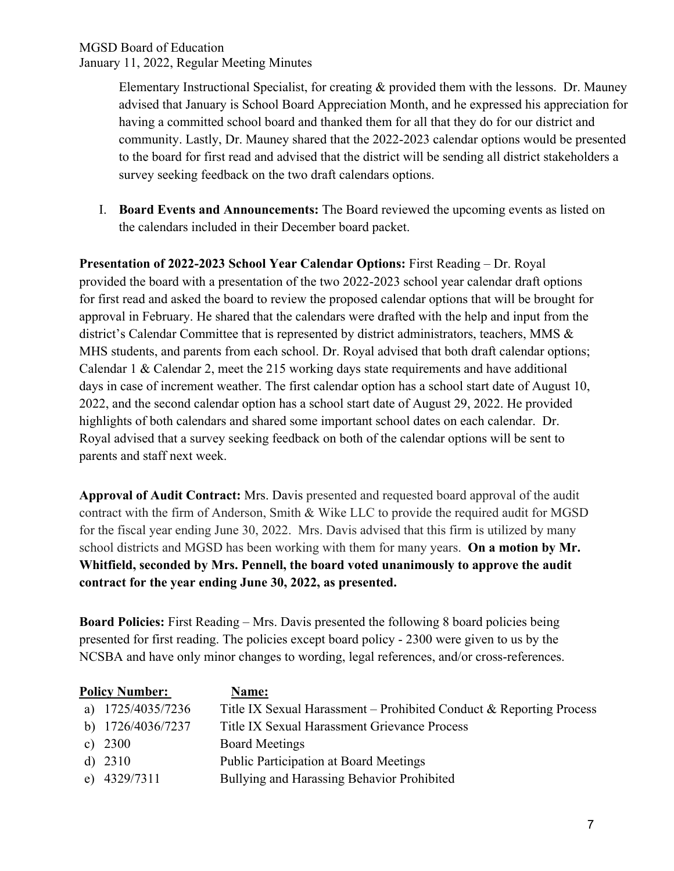Elementary Instructional Specialist, for creating & provided them with the lessons. Dr. Mauney advised that January is School Board Appreciation Month, and he expressed his appreciation for having a committed school board and thanked them for all that they do for our district and community. Lastly, Dr. Mauney shared that the 2022-2023 calendar options would be presented to the board for first read and advised that the district will be sending all district stakeholders a survey seeking feedback on the two draft calendars options.

I. **Board Events and Announcements:** The Board reviewed the upcoming events as listed on the calendars included in their December board packet.

**Presentation of 2022-2023 School Year Calendar Options:** First Reading – Dr. Royal provided the board with a presentation of the two 2022-2023 school year calendar draft options for first read and asked the board to review the proposed calendar options that will be brought for approval in February. He shared that the calendars were drafted with the help and input from the district's Calendar Committee that is represented by district administrators, teachers, MMS & MHS students, and parents from each school. Dr. Royal advised that both draft calendar options; Calendar 1 & Calendar 2, meet the 215 working days state requirements and have additional days in case of increment weather. The first calendar option has a school start date of August 10, 2022, and the second calendar option has a school start date of August 29, 2022. He provided highlights of both calendars and shared some important school dates on each calendar. Dr. Royal advised that a survey seeking feedback on both of the calendar options will be sent to parents and staff next week.

**Approval of Audit Contract:** Mrs. Davis presented and requested board approval of the audit contract with the firm of Anderson, Smith & Wike LLC to provide the required audit for MGSD for the fiscal year ending June 30, 2022.Mrs. Davis advised that this firm is utilized by many school districts and MGSD has been working with them for many years. **On a motion by Mr. Whitfield, seconded by Mrs. Pennell, the board voted unanimously to approve the audit contract for the year ending June 30, 2022, as presented.**

**Board Policies:** First Reading – Mrs. Davis presented the following 8 board policies being presented for first reading. The policies except board policy - 2300 were given to us by the NCSBA and have only minor changes to wording, legal references, and/or cross-references.

| <b>Policy Number:</b> |                   | Name:                                                               |
|-----------------------|-------------------|---------------------------------------------------------------------|
|                       | a) 1725/4035/7236 | Title IX Sexual Harassment – Prohibited Conduct & Reporting Process |
|                       | b) 1726/4036/7237 | Title IX Sexual Harassment Grievance Process                        |
|                       | c) $2300$         | <b>Board Meetings</b>                                               |
|                       | d) $2310$         | <b>Public Participation at Board Meetings</b>                       |
|                       | e) $4329/7311$    | Bullying and Harassing Behavior Prohibited                          |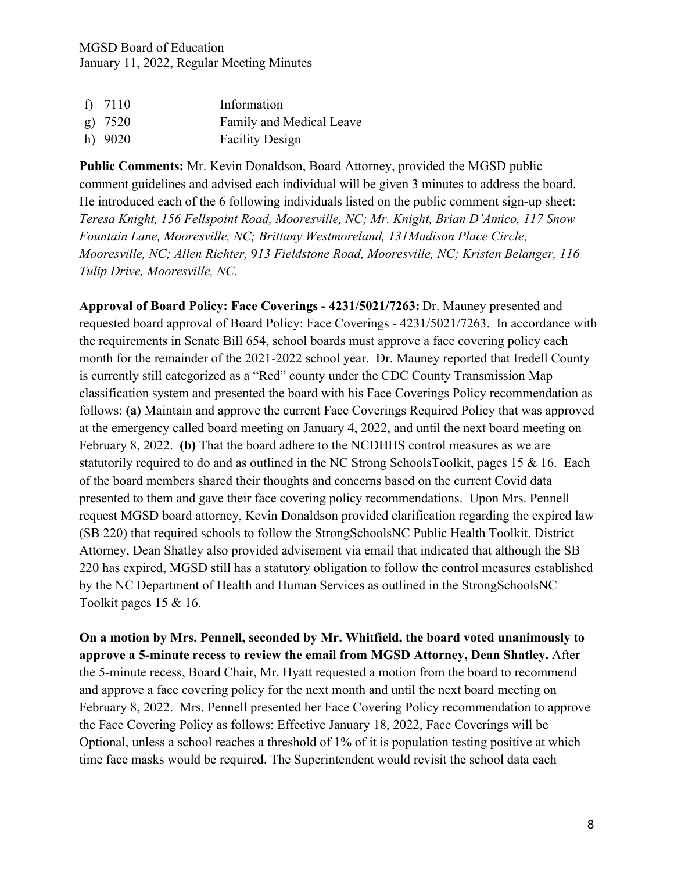| f) $7110$ | Information              |
|-----------|--------------------------|
| $g)$ 7520 | Family and Medical Leave |
| h) $9020$ | <b>Facility Design</b>   |

**Public Comments:** Mr. Kevin Donaldson, Board Attorney, provided the MGSD public comment guidelines and advised each individual will be given 3 minutes to address the board. He introduced each of the 6 following individuals listed on the public comment sign-up sheet: *Teresa Knight, 156 Fellspoint Road, Mooresville, NC; Mr. Knight, Brian D'Amico, 117 Snow Fountain Lane, Mooresville, NC; Brittany Westmoreland, 131Madison Place Circle, Mooresville, NC; Allen Richter,* 9*13 Fieldstone Road, Mooresville, NC; Kristen Belanger, 116 Tulip Drive, Mooresville, NC.* 

**Approval of Board Policy: Face Coverings - 4231/5021/7263:** Dr. Mauney presented and requested board approval of Board Policy: Face Coverings - 4231/5021/7263. In accordance with the requirements in Senate Bill 654, school boards must approve a face covering policy each month for the remainder of the 2021-2022 school year. Dr. Mauney reported that Iredell County is currently still categorized as a "Red" county under the CDC County Transmission Map classification system and presented the board with his Face Coverings Policy recommendation as follows: **(a)** Maintain and approve the current Face Coverings Required Policy that was approved at the emergency called board meeting on January 4, 2022, and until the next board meeting on February 8, 2022. **(b)** That the board adhere to the NCDHHS control measures as we are statutorily required to do and as outlined in the NC Strong SchoolsToolkit, pages 15 & 16. Each of the board members shared their thoughts and concerns based on the current Covid data presented to them and gave their face covering policy recommendations. Upon Mrs. Pennell request MGSD board attorney, Kevin Donaldson provided clarification regarding the expired law (SB 220) that required schools to follow the StrongSchoolsNC Public Health Toolkit. District Attorney, Dean Shatley also provided advisement via email that indicated that although the SB 220 has expired, MGSD still has a statutory obligation to follow the control measures established by the NC Department of Health and Human Services as outlined in the StrongSchoolsNC Toolkit pages 15 & 16.

**On a motion by Mrs. Pennell, seconded by Mr. Whitfield, the board voted unanimously to approve a 5-minute recess to review the email from MGSD Attorney, Dean Shatley.** After the 5-minute recess, Board Chair, Mr. Hyatt requested a motion from the board to recommend and approve a face covering policy for the next month and until the next board meeting on February 8, 2022. Mrs. Pennell presented her Face Covering Policy recommendation to approve the Face Covering Policy as follows: Effective January 18, 2022, Face Coverings will be Optional, unless a school reaches a threshold of 1% of it is population testing positive at which time face masks would be required. The Superintendent would revisit the school data each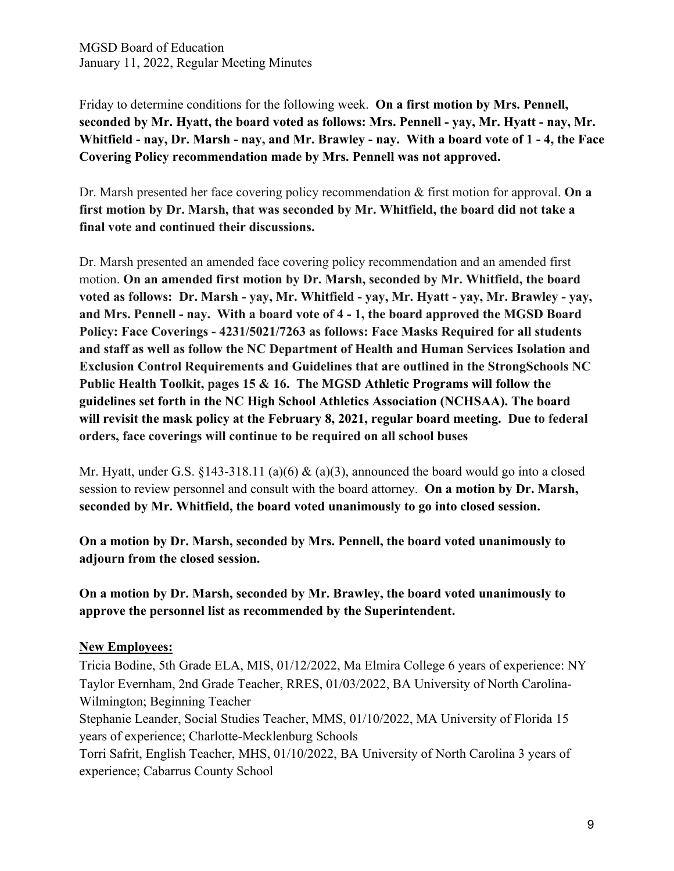Friday to determine conditions for the following week. **On a first motion by Mrs. Pennell, seconded by Mr. Hyatt, the board voted as follows: Mrs. Pennell - yay, Mr. Hyatt - nay, Mr. Whitfield - nay, Dr. Marsh - nay, and Mr. Brawley - nay. With a board vote of 1 - 4, the Face Covering Policy recommendation made by Mrs. Pennell was not approved.** 

Dr. Marsh presented her face covering policy recommendation & first motion for approval. **On a first motion by Dr. Marsh, that was seconded by Mr. Whitfield, the board did not take a final vote and continued their discussions.**

Dr. Marsh presented an amended face covering policy recommendation and an amended first motion. **On an amended first motion by Dr. Marsh, seconded by Mr. Whitfield, the board voted as follows: Dr. Marsh - yay, Mr. Whitfield - yay, Mr. Hyatt - yay, Mr. Brawley - yay, and Mrs. Pennell - nay. With a board vote of 4 - 1, the board approved the MGSD Board Policy: Face Coverings - 4231/5021/7263 as follows: Face Masks Required for all students and staff as well as follow the NC Department of Health and Human Services Isolation and Exclusion Control Requirements and Guidelines that are outlined in the StrongSchools NC Public Health Toolkit, pages 15 & 16. The MGSD Athletic Programs will follow the guidelines set forth in the NC High School Athletics Association (NCHSAA). The board will revisit the mask policy at the February 8, 2021, regular board meeting. Due to federal orders, face coverings will continue to be required on all school buses**

Mr. Hyatt, under G.S. §143-318.11 (a)(6) & (a)(3), announced the board would go into a closed session to review personnel and consult with the board attorney. **On a motion by Dr. Marsh, seconded by Mr. Whitfield, the board voted unanimously to go into closed session.**

**On a motion by Dr. Marsh, seconded by Mrs. Pennell, the board voted unanimously to adjourn from the closed session.**

**On a motion by Dr. Marsh, seconded by Mr. Brawley, the board voted unanimously to approve the personnel list as recommended by the Superintendent.**

### **New Employees:**

Tricia Bodine, 5th Grade ELA, MIS, 01/12/2022, Ma Elmira College 6 years of experience: NY Taylor Evernham, 2nd Grade Teacher, RRES, 01/03/2022, BA University of North Carolina-Wilmington; Beginning Teacher

Stephanie Leander, Social Studies Teacher, MMS, 01/10/2022, MA University of Florida 15 years of experience; Charlotte-Mecklenburg Schools

Torri Safrit, English Teacher, MHS, 01/10/2022, BA University of North Carolina 3 years of experience; Cabarrus County School